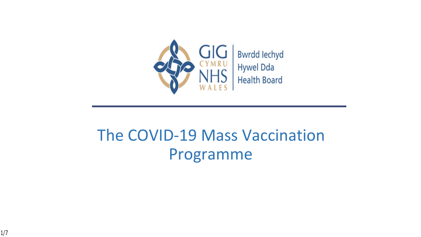

## The COVID-19 Mass Vaccination Programme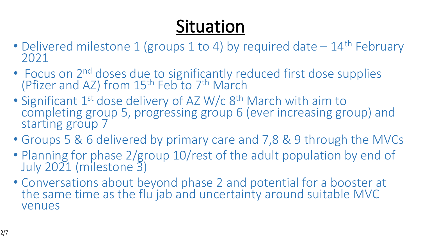# **Situation**

- Delivered milestone 1 (groups 1 to 4) by required date  $-14$ <sup>th</sup> February 2021
- Focus on 2<sup>nd</sup> doses due to significantly reduced first dose supplies (Pfizer and AZ) from 15<sup>th</sup> Feb to 7<sup>th</sup> March
- Significant 1<sup>st</sup> dose delivery of AZ W/c 8<sup>th</sup> March with aim to completing group 5, progressing group 6 (ever increasing group) and starting group 7
- Groups 5 & 6 delivered by primary care and 7,8 & 9 through the MVCs
- Planning for phase 2/group 10/rest of the adult population by end of July 2021 (milestone 3)
- Conversations about beyond phase 2 and potential for a booster at the same time as the flu jab and uncertainty around suitable MVC venues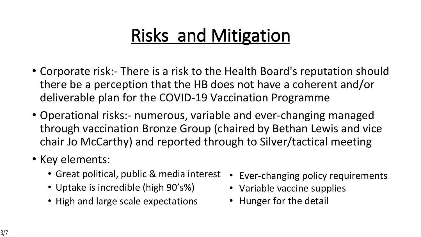## **Risks and Mitigation**

- Corporate risk:- There is a risk to the Health Board's reputation should there be a perception that the HB does not have a coherent and/or deliverable plan for the COVID-19 Vaccination Programme
- Operational risks:- numerous, variable and ever-changing managed through vaccination Bronze Group (chaired by Bethan Lewis and vice chair Jo McCarthy) and reported through to Silver/tactical meeting
- Key elements:
	- Great political, public & media interest
	- Uptake is incredible (high 90's%)
	- High and large scale expectations
- Ever-changing policy requirements
- Variable vaccine supplies
- Hunger for the detail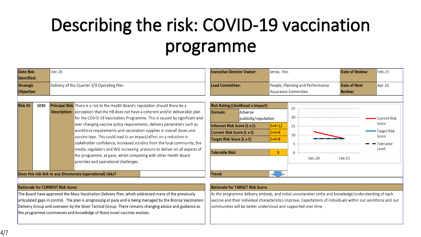# **Describing the risk: COVID-19 vaccination programme**

| <b>Date Risk</b><br>Identified:<br><b>Strategic</b><br>Objective: | Dec-20<br>Delivery of the Quarter 3/4 Operating Plan                                                                                                                                                                                                                                                                                                                                                                                                                                                                                                                                                                                                                                    |                                                                                                         | <b>Executive Director Owner:</b><br>Lead Committee:                                                                                                                       |                                                                             | Jervis, Ros<br>People, Planning and Performance<br>Assurance Committee | <b>Date of Review:</b><br><b>Date of Next</b><br><b>Review:</b> | Feb-21<br>$Apr-21$                                                        |
|-------------------------------------------------------------------|-----------------------------------------------------------------------------------------------------------------------------------------------------------------------------------------------------------------------------------------------------------------------------------------------------------------------------------------------------------------------------------------------------------------------------------------------------------------------------------------------------------------------------------------------------------------------------------------------------------------------------------------------------------------------------------------|---------------------------------------------------------------------------------------------------------|---------------------------------------------------------------------------------------------------------------------------------------------------------------------------|-----------------------------------------------------------------------------|------------------------------------------------------------------------|-----------------------------------------------------------------|---------------------------------------------------------------------------|
| <b>Risk ID:</b><br>1030                                           | <b>Principal Risk</b> There is a risk to the Health Board's reputation should there be a<br><b>Description:</b> perception that the HB does not have a coherent and/or deliverable plan<br>ever changing vaccine policy requirements, delivery parameters such as<br>workforce requirements and vaccination supplies in overall doses and<br>vaccine type. This could lead to an impact/affect on a reduction in<br>stakeholder confidence, increased scrutiny from the local community, the<br>media, regulators and WG increasing pressure to deliver on all aspects of<br>the programme, at pace, whilst competing with other Health Board<br>priorities and operational challenges. | Domain:<br>for the COVID-19 Vaccination Programme. This is caused by significant and<br>Tolerable Risk: | <b>Risk Rating: (Likelihood x Impact)</b><br>Adverse<br>publicity/reputation<br>Inherent Risk Score (L x I):<br>Current Risk Score (L x I):<br>Target Risk Score (L x I): | $3 \times 4 = 12$<br>$2 \times 4 = 8$<br>$2 \times 4 = 8$<br>8 <sup>°</sup> | 25<br>20<br>15<br>10<br>$\Omega$<br>Dec-20                             | Feb-21                                                          | Current Risk •<br>Score<br>• Target Risk<br>Score<br>- Tolerance<br>Level |
|                                                                   | Does this risk link to any Directorate (operational) risks?                                                                                                                                                                                                                                                                                                                                                                                                                                                                                                                                                                                                                             | Trend:                                                                                                  |                                                                                                                                                                           |                                                                             |                                                                        |                                                                 |                                                                           |

#### **Rationale for CURRENT Risk Score:**

The Board have approved the Mass Vaccination Delivery Plan, which addressed many of the previously articulated gaps in control. The plan is progressing at pace and is being managed by the Bronze Vaccination Delivery Group and overseen by the Silver Tactical Group. There remains changing advice and guidance as the programme commences and knowledge of these novel vaccines evolves.

#### **Rationale for TARGET Risk Score:**

As the programme delivery embeds, and initial uncertainties settle and knowledge/understanding of each vaccine and their individual characteristics improve. Expectations of individuals within our workforce and our communities will be better understood and supported over time.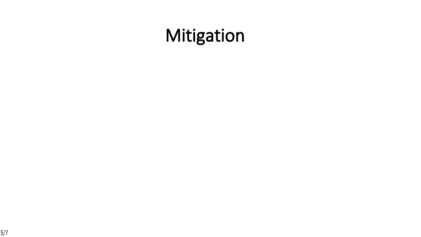## **Mitigation**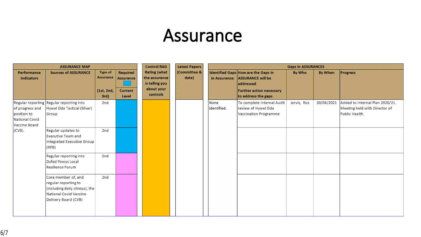### **Assurance**

| <b>ASSURANCE MAP</b>                                              |                                                                                                                                     |                                                   |                                                  | <b>Control RAG</b>                                                               | <b>Latest Papers</b>  | <b>Gaps in ASSURANCES</b> |                                                                                                                                        |               |                |                                                                                    |
|-------------------------------------------------------------------|-------------------------------------------------------------------------------------------------------------------------------------|---------------------------------------------------|--------------------------------------------------|----------------------------------------------------------------------------------|-----------------------|---------------------------|----------------------------------------------------------------------------------------------------------------------------------------|---------------|----------------|------------------------------------------------------------------------------------|
| Performance<br><b>Indicators</b>                                  | <b>Sources of ASSURANCE</b>                                                                                                         | Type of<br><b>Assurance</b><br>(1st, 2nd,<br>3rd) | Required<br>Assurance<br><b>Current</b><br>Level | <b>Rating (what</b><br>the assurance<br>is telling you<br>about your<br>controls | (Committee &<br>date) | in Assurance:             | Identified Gaps How are the Gaps in<br><b>ASSURANCE will be</b><br>addressed<br><b>Further action necessary</b><br>to address the gaps | <b>By Who</b> | <b>By When</b> | <b>Progress</b>                                                                    |
| of progress and<br>position to<br>National Covid<br>Vaccine Board | Regular reporting Regular reporting into<br>Hywel Dda Tactical (Silver)<br>Group                                                    | 2nd                                               |                                                  |                                                                                  |                       | None<br>identified.       | To complete Internal Audit<br>review of Hywel Dda<br>Vaccination Programme                                                             | Jervis, Ros   | 30/04/2021     | Added to Internal Plan 2020/21.<br>Meeting held with Director of<br>Public Health. |
| $(CVB)$ .                                                         | Regular updates to<br>Executive Team and<br>Integrated Executive Group<br>(RPB)                                                     | 2nd                                               |                                                  |                                                                                  |                       |                           |                                                                                                                                        |               |                |                                                                                    |
|                                                                   | Regular reporting into<br>Dyfed Powys Local<br>Resilience Forum                                                                     | 2nd                                               |                                                  |                                                                                  |                       |                           |                                                                                                                                        |               |                |                                                                                    |
|                                                                   | Core member of, and<br>regular reporting to<br>(including daily sitreps), the $ $<br>National Covid Vaccine<br>Delivery Board (CVB) | 2nd                                               |                                                  |                                                                                  |                       |                           |                                                                                                                                        |               |                |                                                                                    |